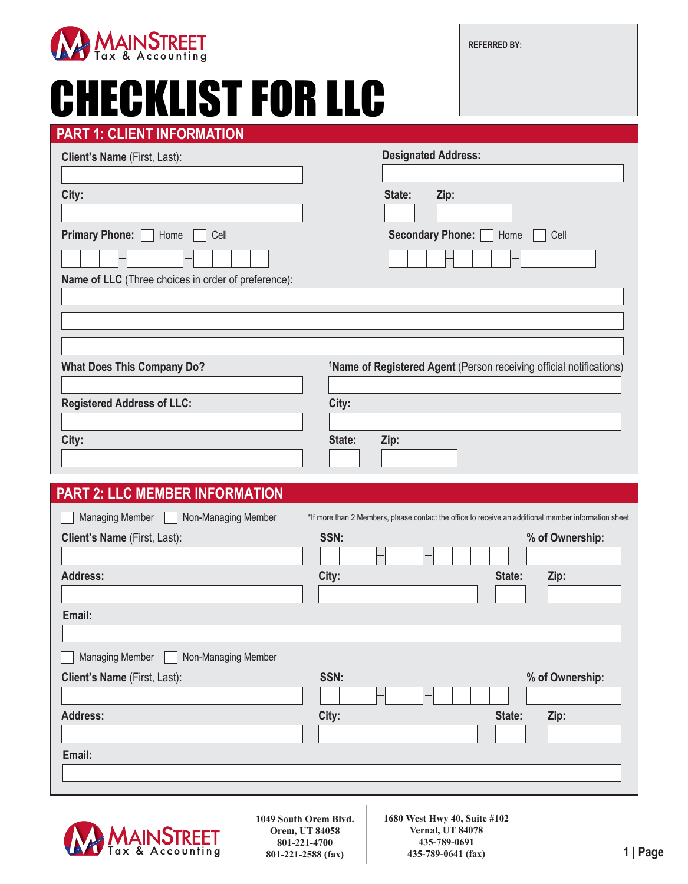

## CHECKLIST FOR LLC

| <b>REFERRED BY:</b> |  |
|---------------------|--|
|                     |  |

## **PART 1: CLIENT INFORMATION**

| Client's Name (First, Last):                        | <b>Designated Address:</b>                                                                            |
|-----------------------------------------------------|-------------------------------------------------------------------------------------------------------|
|                                                     |                                                                                                       |
| City:                                               | State:<br>Zip:                                                                                        |
|                                                     |                                                                                                       |
| <b>Primary Phone:</b><br>Home<br>Cell               | <b>Secondary Phone:</b><br>Home<br>Cell                                                               |
|                                                     |                                                                                                       |
| Name of LLC (Three choices in order of preference): |                                                                                                       |
|                                                     |                                                                                                       |
|                                                     |                                                                                                       |
|                                                     |                                                                                                       |
| <b>What Does This Company Do?</b>                   | <sup>1</sup> Name of Registered Agent (Person receiving official notifications)                       |
|                                                     |                                                                                                       |
| <b>Registered Address of LLC:</b>                   | City:                                                                                                 |
|                                                     |                                                                                                       |
| City:                                               | State:<br>Zip:                                                                                        |
|                                                     |                                                                                                       |
|                                                     |                                                                                                       |
| <b>PART 2: LLC MEMBER INFORMATION</b>               |                                                                                                       |
| <b>Managing Member</b><br>Non-Managing Member       | *If more than 2 Members, please contact the office to receive an additional member information sheet. |
| Client's Name (First, Last):                        | SSN:<br>% of Ownership:                                                                               |
|                                                     |                                                                                                       |
| <b>Address:</b>                                     | City:<br>State:<br>Zip:                                                                               |
|                                                     |                                                                                                       |
| Email:                                              |                                                                                                       |
|                                                     |                                                                                                       |
| Non-Managing Member<br>Managing Member              |                                                                                                       |
| Client's Name (First, Last):                        | % of Ownership:<br>SSN:                                                                               |
|                                                     |                                                                                                       |
| <b>Address:</b>                                     | City:<br>State:<br>Zip:                                                                               |
|                                                     |                                                                                                       |
|                                                     |                                                                                                       |



**1049 South Orem Blvd. Orem, UT 84058 801-221-4700 801-221-2588 (fax)**

**1680 West Hwy 40, Suite #102 Vernal, UT 84078 435-789-0691 435-789-0641 (fax)**